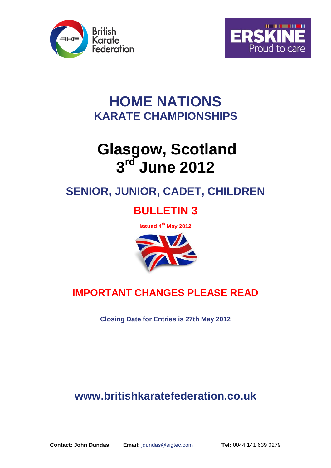



## **HOME NATIONS KARATE CHAMPIONSHIPS**

# **Glasgow, Scotland 3 rd June 2012**

## **SENIOR, JUNIOR, CADET, CHILDREN**

## **BULLETIN 3**

**Issued 4 th May 2012**



## **IMPORTANT CHANGES PLEASE READ**

**Closing Date for Entries is 27th May 2012**

## **www.britishkaratefederation.co.uk**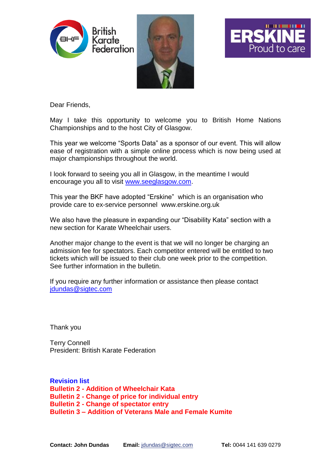





Dear Friends,

May I take this opportunity to welcome you to British Home Nations Championships and to the host City of Glasgow.

This year we welcome "Sports Data" as a sponsor of our event. This will allow ease of registration with a simple online process which is now being used at major championships throughout the world.

I look forward to seeing you all in Glasgow, in the meantime I would encourage you all to visit [www.seeglasgow.com.](http://www.seeglasgow.com/)

This year the BKF have adopted "Erskine" which is an organisation who provide care to ex-service personnel www.erskine.org.uk

We also have the pleasure in expanding our "Disability Kata" section with a new section for Karate Wheelchair users.

Another major change to the event is that we will no longer be charging an admission fee for spectators. Each competitor entered will be entitled to two tickets which will be issued to their club one week prior to the competition. See further information in the bulletin.

If you require any further information or assistance then please contact [jdundas@sigtec.com](mailto:jdundas@sigtec.com)

Thank you

Terry Connell President: British Karate Federation

**Revision list Bulletin 2 - Addition of Wheelchair Kata Bulletin 2 - Change of price for individual entry Bulletin 2 - Change of spectator entry Bulletin 3 – Addition of Veterans Male and Female Kumite**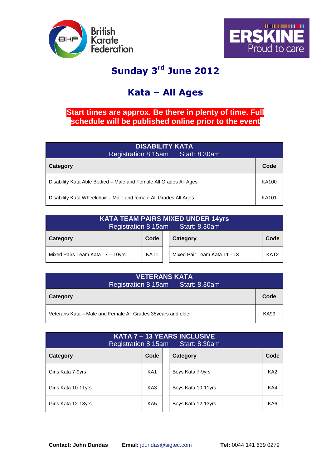



## **Sunday 3 rd June 2012**

## **Kata – All Ages**

## **Start times are approx. Be there in plenty of time. Full schedule will be published online prior to the event**

| <b>DISABILITY KATA</b><br>Registration 8.15am Start: 8.30am       |       |  |  |
|-------------------------------------------------------------------|-------|--|--|
| Category                                                          | Code  |  |  |
| Disability Kata Able Bodied – Male and Female All Grades All Ages | KA100 |  |  |
| Disability Kata Wheelchair - Male and female All Grades All Ages  |       |  |  |

| <b>KATA TEAM PAIRS MIXED UNDER 14yrs</b><br>Registration 8.15am Start: 8.30am |                  |  |                              |                  |  |
|-------------------------------------------------------------------------------|------------------|--|------------------------------|------------------|--|
| Category                                                                      | Code             |  | Category                     | Code             |  |
| Mixed Pairs Team Kata 7 - 10yrs                                               | KAT <sub>1</sub> |  | Mixed Pair Team Kata 11 - 13 | KAT <sub>2</sub> |  |

| <b>VETERANS KATA</b>                                          |      |  |  |  |  |
|---------------------------------------------------------------|------|--|--|--|--|
| Registration 8.15am Start: 8.30am                             |      |  |  |  |  |
| Category                                                      | Code |  |  |  |  |
| Veterans Kata – Male and Female All Grades 35 years and older | KA99 |  |  |  |  |

| KATA 7 - 13 YEARS INCLUSIVE<br><b>Start: 8.30am</b><br><b>Registration 8.15am</b> |                 |  |                    |                 |  |  |
|-----------------------------------------------------------------------------------|-----------------|--|--------------------|-----------------|--|--|
| Category                                                                          | Code            |  | Category           | Code            |  |  |
| Girls Kata 7-9yrs                                                                 | KA <sub>1</sub> |  | Boys Kata 7-9yrs   | KA <sub>2</sub> |  |  |
| Girls Kata 10-11yrs                                                               | KA3             |  | Boys Kata 10-11yrs | KA4             |  |  |
| Girls Kata 12-13yrs                                                               | KA <sub>5</sub> |  | Boys Kata 12-13yrs | KA <sub>6</sub> |  |  |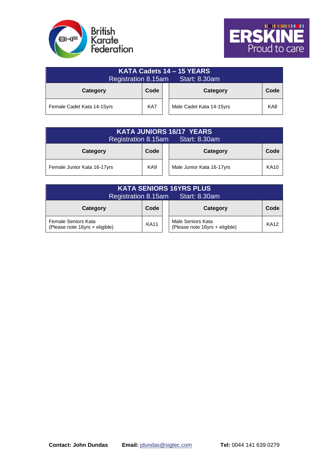



| KATA Cadets 14 - 15 YEARS<br><b>Start: 8.30am</b><br>Registration 8.15am |      |  |                          |      |  |  |
|--------------------------------------------------------------------------|------|--|--------------------------|------|--|--|
| Category                                                                 | Code |  | Category                 | Code |  |  |
| Female Cadet Kata 14-15yrs                                               | KA7  |  | Male Cadet Kata 14-15yrs | KA8  |  |  |

| <b>KATA JUNIORS 16/17 YEARS</b><br><b>Start: 8.30am</b><br><b>Registration 8.15am</b> |      |  |                           |             |  |  |
|---------------------------------------------------------------------------------------|------|--|---------------------------|-------------|--|--|
| Category                                                                              | Code |  | Category                  | Code        |  |  |
| Female Junior Kata 16-17yrs                                                           | KA9  |  | Male Junior Kata 16-17yrs | <b>KA10</b> |  |  |

| <b>KATA SENIORS 16YRS PLUS.</b><br>Registration 8.15am<br><b>Start: 8.30am</b> |             |  |                                                     |             |  |
|--------------------------------------------------------------------------------|-------------|--|-----------------------------------------------------|-------------|--|
| Category                                                                       | Code        |  | Category                                            | Code        |  |
| Female Seniors Kata<br>(Please note 16yrs + eligible)                          | <b>KA11</b> |  | Male Seniors Kata<br>(Please note 16yrs + eligible) | <b>KA12</b> |  |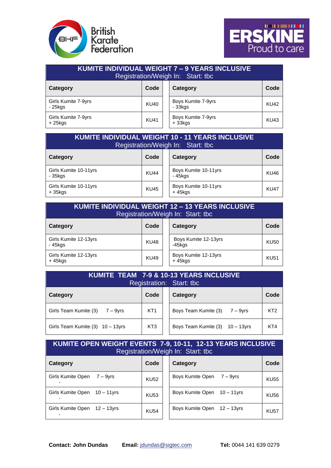



| <b>KUMITE INDIVIDUAL WEIGHT 7 - 9 YEARS INCLUSIVE</b><br>Registration/Weigh In: Start: tbc |             |  |                                |             |  |
|--------------------------------------------------------------------------------------------|-------------|--|--------------------------------|-------------|--|
| Category                                                                                   | Code        |  | Category                       | Code        |  |
| Girls Kumite 7-9yrs<br>- 25kgs                                                             | <b>KU40</b> |  | Boys Kumite 7-9yrs<br>- 33kgs  | <b>KU42</b> |  |
| Girls Kumite 7-9yrs<br>$+25$ kgs                                                           | KU41        |  | Boys Kumite 7-9yrs<br>$+33kgs$ | <b>KU43</b> |  |

| <b>KUMITE INDIVIDUAL WEIGHT 10 - 11 YEARS INCLUSIVE</b><br>Registration/Weigh In: Start: tbc |             |  |                                   |             |  |
|----------------------------------------------------------------------------------------------|-------------|--|-----------------------------------|-------------|--|
| Category                                                                                     | Code        |  | Category                          | Code        |  |
| Girls Kumite 10-11yrs<br>- 35kgs                                                             | <b>KU44</b> |  | Boys Kumite 10-11yrs<br>- 45kgs   | KU46        |  |
| Girls Kumite 10-11yrs<br>$+35$ kgs                                                           | <b>KU45</b> |  | Boys Kumite 10-11yrs<br>$+45$ kgs | <b>KU47</b> |  |

#### **KUMITE INDIVIDUAL WEIGHT 12 – 13 YEARS INCLUSIVE**  Registration/Weigh In: Start: tbc

| ີ<br>Category                    | Code        | ີ | Category                        | Code        |
|----------------------------------|-------------|---|---------------------------------|-------------|
| Girls Kumite 12-13yrs<br>- 45kgs | <b>KU48</b> |   | Boys Kumite 12-13yrs<br>-45kgs  | <b>KU50</b> |
| Girls Kumite 12-13yrs<br>+ 45kgs | <b>KU49</b> |   | Boys Kumite 12-13yrs<br>+ 45kgs | <b>KU51</b> |

| <b>KUMITE TEAM 7-9 &amp; 10-13 YEARS INCLUSIVE</b><br>Registration: Start: tbc |                 |  |                                 |                 |  |
|--------------------------------------------------------------------------------|-----------------|--|---------------------------------|-----------------|--|
| Category                                                                       | Code            |  | Category                        | Code            |  |
| Girls Team Kumite $(3)$ 7 – 9yrs                                               | KT <sub>1</sub> |  | Boys Team Kumite $(3)$ 7 – 9yrs | KT <sub>2</sub> |  |
| Girls Team Kumite $(3)$ 10 - 13yrs                                             | KT <sub>3</sub> |  | Boys Team Kumite (3) 10 - 13yrs | KT4             |  |

### **KUMITE OPEN WEIGHT EVENTS 7-9, 10-11, 12-13 YEARS INCLUSIVE**  Registration/Weigh In: Start: tbc

| Category                         | Code        | Category                     | Code        |
|----------------------------------|-------------|------------------------------|-------------|
| Girls Kumite Open<br>$7 - 9$ vrs | <b>KU52</b> | Boys Kumite Open 7 – 9yrs    | <b>KU55</b> |
| Girls Kumite Open 10 - 11 yrs    | <b>KU53</b> | Boys Kumite Open 10 - 11 yrs | KU56        |
| Girls Kumite Open 12 - 13yrs     | <b>KU54</b> | Boys Kumite Open 12 - 13yrs  | <b>KU57</b> |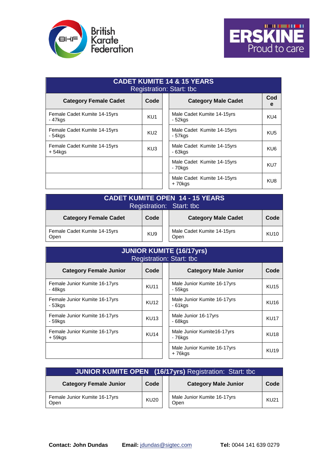



| <b>CADET KUMITE 14 &amp; 15 YEARS</b><br>Registration: Start: tbc |                 |                                         |                 |  |  |  |  |  |
|-------------------------------------------------------------------|-----------------|-----------------------------------------|-----------------|--|--|--|--|--|
| <b>Category Female Cadet</b>                                      | Code            | <b>Category Male Cadet</b>              | Cod<br>e        |  |  |  |  |  |
| Female Cadet Kumite 14-15yrs<br>$-47$ kgs                         | KU <sub>1</sub> | Male Cadet Kumite 14-15yrs<br>- 52kgs   | KU4             |  |  |  |  |  |
| Female Cadet Kumite 14-15yrs<br>- 54kgs                           | KU <sub>2</sub> | Male Cadet Kumite 14-15yrs<br>- 57kgs   | KU <sub>5</sub> |  |  |  |  |  |
| Female Cadet Kumite 14-15yrs<br>+ 54 kgs                          | KU <sub>3</sub> | Male Cadet Kumite 14-15yrs<br>- 63kgs   | KU <sub>6</sub> |  |  |  |  |  |
|                                                                   |                 | Male Cadet Kumite 14-15yrs<br>$-70$ kgs | KU7             |  |  |  |  |  |
|                                                                   |                 | Male Cadet Kumite 14-15yrs<br>+70kgs    | KU8             |  |  |  |  |  |

| <b>CADET KUMITE OPEN 14 - 15 YEARS.</b><br>Registration: Start: tbc        |                 |  |                                    |             |  |  |  |
|----------------------------------------------------------------------------|-----------------|--|------------------------------------|-------------|--|--|--|
| <b>Category Female Cadet</b><br><b>Category Male Cadet</b><br>Code<br>Code |                 |  |                                    |             |  |  |  |
| Female Cadet Kumite 14-15yrs<br>Open                                       | KU <sub>9</sub> |  | Male Cadet Kumite 14-15yrs<br>Open | <b>KU10</b> |  |  |  |

| <b>JUNIOR KUMITE (16/17yrs)</b><br><b>Registration: Start: tbc</b> |             |                                                         |  |  |  |  |  |
|--------------------------------------------------------------------|-------------|---------------------------------------------------------|--|--|--|--|--|
| <b>Category Female Junior</b>                                      | Code        | <b>Category Male Junior</b><br>Code                     |  |  |  |  |  |
| Female Junior Kumite 16-17yrs<br>- 48kgs                           | <b>KU11</b> | Male Junior Kumite 16-17yrs<br><b>KU15</b><br>- 55kgs   |  |  |  |  |  |
| Female Junior Kumite 16-17yrs<br>- 53kgs                           | <b>KU12</b> | Male Junior Kumite 16-17yrs<br><b>KU16</b><br>$-61$ kgs |  |  |  |  |  |
| Female Junior Kumite 16-17yrs<br>- 59kgs                           | <b>KU13</b> | Male Junior 16-17yrs<br><b>KU17</b><br>$-68$ kgs        |  |  |  |  |  |
| Female Junior Kumite 16-17yrs<br>$+59$ kgs                         | <b>KU14</b> | Male Junior Kumite16-17yrs<br><b>KU18</b><br>- 76kgs    |  |  |  |  |  |
|                                                                    |             | Male Junior Kumite 16-17yrs<br><b>KU19</b><br>+76kgs    |  |  |  |  |  |

| <b>JUNIOR KUMITE OPEN (16/17yrs)</b> Registration: Start: tbc |                  |  |                                     |             |  |  |  |
|---------------------------------------------------------------|------------------|--|-------------------------------------|-------------|--|--|--|
| <b>Category Female Junior</b>                                 | Code             |  | <b>Category Male Junior</b>         | Code        |  |  |  |
| Female Junior Kumite 16-17yrs<br>Open                         | KU <sub>20</sub> |  | Male Junior Kumite 16-17yrs<br>Open | <b>KU21</b> |  |  |  |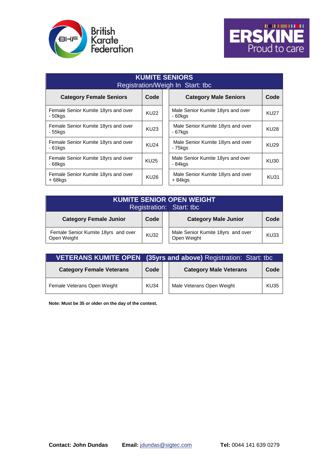



| <b>KUMITE SENIORS</b><br>Registration/Weigh In Start: tbc |             |  |                                                |             |  |  |  |
|-----------------------------------------------------------|-------------|--|------------------------------------------------|-------------|--|--|--|
| <b>Category Female Seniors</b>                            | Code        |  | <b>Category Male Seniors</b>                   | Code        |  |  |  |
| Female Senior Kumite 18yrs and over<br>- 50kgs            | <b>KU22</b> |  | Male Senior Kumite 18yrs and over<br>$-60$ kgs | <b>KU27</b> |  |  |  |
| Female Senior Kumite 18yrs and over<br>- 55kgs            | <b>KU23</b> |  | Male Senior Kumite 18yrs and over<br>- 67kgs   | KU28        |  |  |  |
| Female Senior Kumite 18yrs and over<br>$-61$ kgs          | <b>KU24</b> |  | Male Senior Kumite 18yrs and over<br>- 75kgs   | KU29        |  |  |  |
| Female Senior Kumite 18yrs and over<br>- 68kgs            | <b>KU25</b> |  | Male Senior Kumite 18yrs and over<br>- 84kgs   | KU30        |  |  |  |
| Female Senior Kumite 18yrs and over<br>$+68$ kgs          | KU26        |  | Male Senior Kumite 18yrs and over<br>$+84kqs$  | KU31        |  |  |  |

### **KUMITE SENIOR OPEN WEIGHT**  Registration: Start: tbc **Category Female Junior Code Category Male Junior Code** Female Senior Kumite 18yrs and over | KU32<br>Open Weight Male Senior Kumite 18yrs and over Male Senior Kumite 18yrs and over KU33

|                                 | <b>VETERANS KUMITE OPEN (35yrs and above)</b> Registration: Start: tbc |  |                               |             |  |  |  |
|---------------------------------|------------------------------------------------------------------------|--|-------------------------------|-------------|--|--|--|
| <b>Category Female Veterans</b> | Code                                                                   |  | <b>Category Male Veterans</b> | Code        |  |  |  |
| Female Veterans Open Weight     | <b>KU34</b>                                                            |  | Male Veterans Open Weight     | <b>KU35</b> |  |  |  |

**Note: Must be 35 or older on the day of the contest.**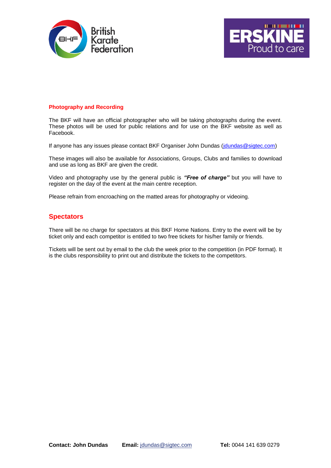



#### **Photography and Recording**

The BKF will have an official photographer who will be taking photographs during the event. These photos will be used for public relations and for use on the BKF website as well as Facebook.

If anyone has any issues please contact BKF Organiser John Dundas [\(jdundas@sigtec.com\)](mailto:jdundas@sigtec.com)

These images will also be available for Associations, Groups, Clubs and families to download and use as long as BKF are given the credit.

Video and photography use by the general public is *"Free of charge"* but you will have to register on the day of the event at the main centre reception.

Please refrain from encroaching on the matted areas for photography or videoing.

#### **Spectators**

There will be no charge for spectators at this BKF Home Nations. Entry to the event will be by ticket only and each competitor is entitled to two free tickets for his/her family or friends.

Tickets will be sent out by email to the club the week prior to the competition (in PDF format). It is the clubs responsibility to print out and distribute the tickets to the competitors.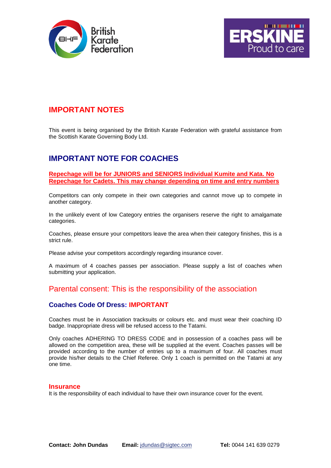



## **IMPORTANT NOTES**

This event is being organised by the British Karate Federation with grateful assistance from the Scottish Karate Governing Body Ltd.

## **IMPORTANT NOTE FOR COACHES**

#### **Repechage will be for JUNIORS and SENIORS Individual Kumite and Kata. No Repechage for Cadets. This may change depending on time and entry numbers**

Competitors can only compete in their own categories and cannot move up to compete in another category.

In the unlikely event of low Category entries the organisers reserve the right to amalgamate categories.

Coaches, please ensure your competitors leave the area when their category finishes, this is a strict rule.

Please advise your competitors accordingly regarding insurance cover.

A maximum of 4 coaches passes per association. Please supply a list of coaches when submitting your application.

### Parental consent: This is the responsibility of the association

#### **Coaches Code Of Dress: IMPORTANT**

Coaches must be in Association tracksuits or colours etc. and must wear their coaching ID badge. Inappropriate dress will be refused access to the Tatami.

Only coaches ADHERING TO DRESS CODE and in possession of a coaches pass will be allowed on the competition area, these will be supplied at the event. Coaches passes will be provided according to the number of entries up to a maximum of four. All coaches must provide his/her details to the Chief Referee. Only 1 coach is permitted on the Tatami at any one time.

#### **Insurance**

It is the responsibility of each individual to have their own insurance cover for the event.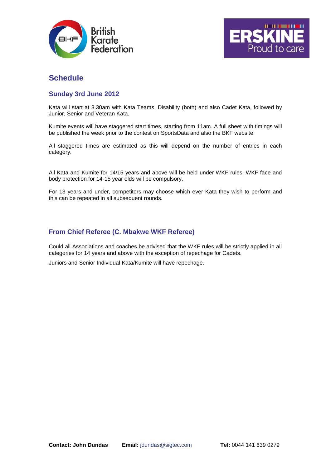



## **Schedule**

#### **Sunday 3rd June 2012**

Kata will start at 8.30am with Kata Teams, Disability (both) and also Cadet Kata, followed by Junior, Senior and Veteran Kata.

Kumite events will have staggered start times, starting from 11am. A full sheet with timings will be published the week prior to the contest on SportsData and also the BKF website

All staggered times are estimated as this will depend on the number of entries in each category.

All Kata and Kumite for 14/15 years and above will be held under WKF rules, WKF face and body protection for 14-15 year olds will be compulsory.

For 13 years and under, competitors may choose which ever Kata they wish to perform and this can be repeated in all subsequent rounds.

#### **From Chief Referee (C. Mbakwe WKF Referee)**

Could all Associations and coaches be advised that the WKF rules will be strictly applied in all categories for 14 years and above with the exception of repechage for Cadets.

Juniors and Senior Individual Kata/Kumite will have repechage.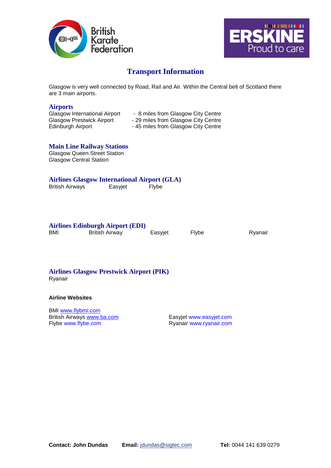



## **Transport Information**

Glasgow is very well connected by Road, Rail and Air. Within the Central belt of Scotland there are 3 main airports.

#### **Airports**

| Glasgow International Airport    | - 8 miles from Glasgow City Centre  |
|----------------------------------|-------------------------------------|
| <b>Glasgow Prestwick Airport</b> | - 29 miles from Glasgow City Centre |
| Edinburgh Airport                | - 45 miles from Glasgow City Centre |

#### **Main Line Railway Stations**

Glasgow Queen Street Station Glasgow Central Station

## **Airlines Glasgow International Airport (GLA)**

British Airways **Easyjet Flybe** 

#### **Airlines Edinburgh Airport (EDI)**

BMI British Airway Easyjet Flybe Ryanair

## **Airlines Glasgow Prestwick Airport (PIK)**

Ryanair

#### **Airline Websites**

BMI [www.flybmi.com](http://www.flybmi.com/) British Airways [www.ba.com](http://www.ba.com/) Easyjet www.easyjet.com<br>
Flybe www.flybe.com Elyone Ryanair www.ryanair.com

Ryanair www.ryanair.com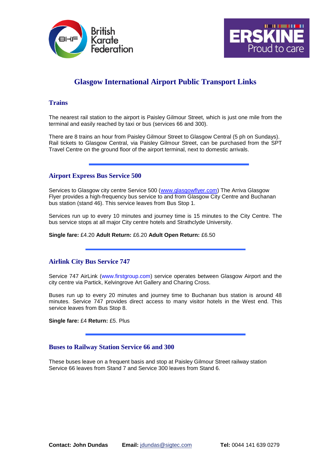



## **Glasgow International Airport Public Transport Links**

#### **Trains**

The nearest rail station to the airport is Paisley Gilmour Street, which is just one mile from the terminal and easily reached by taxi or bus (services 66 and 300).

There are 8 trains an hour from Paisley Gilmour Street to Glasgow Central (5 ph on Sundays). Rail tickets to Glasgow Central, via Paisley Gilmour Street, can be purchased from the SPT Travel Centre on the ground floor of the airport terminal, next to domestic arrivals.

#### **Airport Express Bus Service 500**

Services to Glasgow city centre Service 500 [\(www.glasgowflyer.com\)](http://www.glasgowflyer.com/) The Arriva Glasgow Flyer provides a high-frequency bus service to and from Glasgow City Centre and Buchanan bus station (stand 46). This service leaves from Bus Stop 1.

Services run up to every 10 minutes and journey time is 15 minutes to the City Centre. The bus service stops at all major City centre hotels and Strathclyde University.

**Single fare:** £4.20 **Adult Return:** £6.20 **Adult Open Return:** £6.50

#### **Airlink City Bus Service 747**

Service 747 AirLink (www.firstgroup.com) service operates between Glasgow Airport and the city centre via Partick, Kelvingrove Art Gallery and Charing Cross.

Buses run up to every 20 minutes and journey time to Buchanan bus station is around 48 minutes. Service 747 provides direct access to many visitor hotels in the West end. This service leaves from Bus Stop 8.

**Single fare:** £4 **Return:** £5. Plus

#### **Buses to Railway Station Service 66 and 300**

These buses leave on a frequent basis and stop at Paisley Gilmour Street railway station Service 66 leaves from Stand 7 and Service 300 leaves from Stand 6.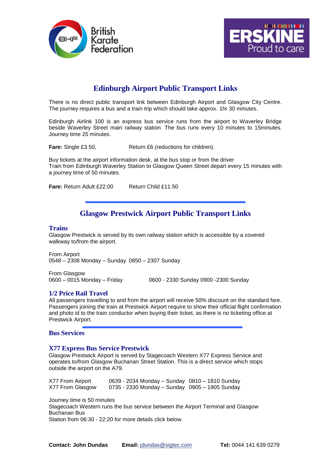



## **Edinburgh Airport Public Transport Links**

There is no direct public transport link between Edinburgh Airport and Glasgow City Centre. The journey requires a bus and a train trip which should take approx. 1hr 30 minutes.

Edinburgh Airlink 100 is an express bus service runs from the airport to Waverley Bridge beside Waverley Street main railway station. The bus runs every 10 minutes to 15minutes. Journey time 25 minutes.

Fare: Single £3.50, Return £6 (reductions for children).

Buy tickets at the airport information desk, at the bus stop or from the driver Train from Edinburgh Waverley Station to Glasgow Queen Street depart every 15 minutes with a journey time of 50 minutes.

**Fare:** Return Adult £22.00 Return Child £11.50

## **Glasgow Prestwick Airport Public Transport Links**

#### **Trains**

Glasgow Prestwick is served by its own railway station which is accessible by a covered walkway to/from the airport.

From Airport 0548 – 2308 Monday – Sunday 0850 – 2307 Sunday

From Glasgow 0600 – 0015 Monday – Friday 0600 - 2330 Sunday 0900 -2300 Sunday

#### **1/2 Price Rail Travel**

All passengers travelling to and from the airport will receive 50% discount on the standard fare. Passengers joining the train at Prestwick Airport require to show their official flight confirmation and photo id to the train conductor when buying their ticket, as there is no ticketing office at Prestwick Airport.

#### **Bus Services**

#### **X77 Express Bus Service Prestwick**

Glasgow Prestwick Airport is served by Stagecoach Western X77 Express Service and operates to/from Glasgow Buchanan Street Station. This is a direct service which stops outside the airport on the A79.

X77 From Airport 0639 - 2034 Monday – Sunday 0810 – 1810 Sunday X77 From Glasgow 0735 - 2330 Monday – Sunday 0905 – 1905 Sunday

Journey time is 50 minutes

Stagecoach Western runs the bus service between the Airport Terminal and Glasgow Buchanan Bus

Station from 06:30 - 22:20 for more details click below.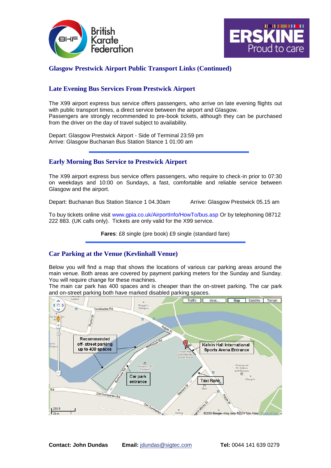



#### **Glasgow Prestwick Airport Public Transport Links (Continued)**

#### **Late Evening Bus Services From Prestwick Airport**

The X99 airport express bus service offers passengers, who arrive on late evening flights out with public transport times, a direct service between the airport and Glasgow. Passengers are strongly recommended to pre-book tickets, although they can be purchased from the driver on the day of travel subject to availability.

Depart: Glasgow Prestwick Airport - Side of Terminal 23:59 pm Arrive: Glasgow Buchanan Bus Station Stance 1 01:00 am

#### **Early Morning Bus Service to Prestwick Airport**

The X99 airport express bus service offers passengers, who require to check-in prior to 07:30 on weekdays and 10:00 on Sundays, a fast, comfortable and reliable service between Glasgow and the airport.

Depart: Buchanan Bus Station Stance 1 04.30am Arrive: Glasgow Prestwick 05.15 am

To buy tickets online visit www.gpia.co.uk/AirportInfo/HowTo/bus.asp Or by telephoning 08712 222 883. (UK calls only). Tickets are only valid for the X99 service.

**Fares**: £8 single (pre book) £9 single (standard fare)

#### **Car Parking at the Venue (Kevlinhall Venue)**

Below you will find a map that shows the locations of various car parking areas around the main venue. Both areas are covered by payment parking meters for the Sunday and Sunday. You will require change for these machines.

The main car park has 400 spaces and is cheaper than the on-street parking. The car park and on-street parking both have marked disabled parking spaces.

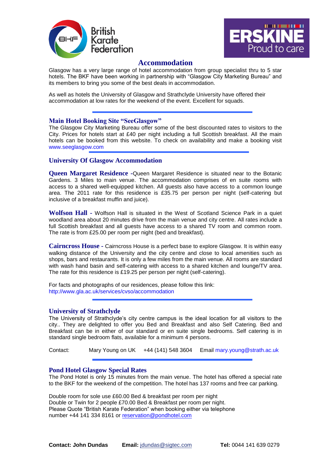



#### **Accommodation**

Glasgow has a very large range of hotel accommodation from group specialist thru to 5 star hotels. The BKF have been working in partnership with "Glasgow City Marketing Bureau" and its members to bring you some of the best deals in accommodation.

As well as hotels the University of Glasgow and Strathclyde University have offered their accommodation at low rates for the weekend of the event. Excellent for squads.

#### **Main Hotel Booking Site "SeeGlasgow"**

The Glasgow City Marketing Bureau offer some of the best discounted rates to visitors to the City. Prices for hotels start at £40 per night including a full Scottish breakfast. All the main hotels can be booked from this website. To check on availability and make a booking visit www.seeglasgow.com

#### **University Of Glasgow Accommodation**

**Queen Margaret Residence -**Queen Margaret Residence is situated near to the Botanic Gardens. 3 Miles to main venue. The accommodation comprises of en suite rooms with access to a shared well-equipped kitchen. All guests also have access to a common lounge area. The 2011 rate for this residence is £35.75 per person per night (self-catering but inclusive of a breakfast muffin and juice).

**Wolfson Hall -** Wolfson Hall is situated in the West of Scotland Science Park in a quiet woodland area about 20 minutes drive from the main venue and city centre. All rates include a full Scottish breakfast and all guests have access to a shared TV room and common room. The rate is from £25.00 per room per night (bed and breakfast).

**Cairncross House -** Cairncross House is a perfect base to explore Glasgow. It is within easy walking distance of the University and the city centre and close to local amenities such as shops, bars and restaurants. It is only a few miles from the main venue. All rooms are standard with wash hand basin and self-catering with access to a shared kitchen and lounge/TV area. The rate for this residence is £19.25 per person per night (self-catering).

For facts and photographs of our residences, please follow this link: http://www.gla.ac.uk/services/cvso/accommodation

#### **University of Strathclyde**

The University of Strathclyde's city centre campus is the ideal location for all visitors to the city.. They are delighted to offer you Bed and Breakfast and also Self Catering. Bed and Breakfast can be in either of our standard or en suite single bedrooms. Self catering is in standard single bedroom flats, available for a minimum 4 persons.

Contact: Mary Young on UK +44 (141) 548 3604 Email mary.young@strath.ac.uk

#### **Pond Hotel Glasgow Special Rates**

The Pond Hotel is only 15 minutes from the main venue. The hotel has offered a special rate to the BKF for the weekend of the competition. The hotel has 137 rooms and free car parking.

Double room for sole use £60.00 Bed & breakfast per room per night Double or Twin for 2 people £70.00 Bed & Breakfast per room per night. Please Quote "British Karate Federation" when booking either via telephone number +44 141 334 8161 or [reservation@pondhotel.com](mailto:reservation@pondhotel.com)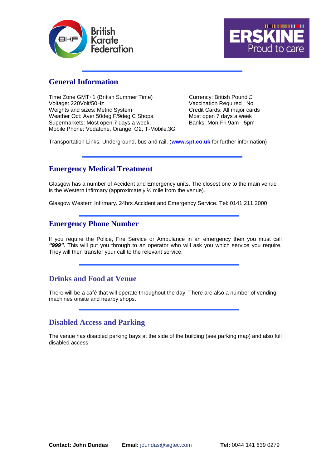



### **General Information**

Time Zone GMT+1 (British Summer Time) Currency: British Pound £ Voltage: 220Volt/50Hz Vaccination Required : No Weights and sizes: Metric System Credit Cards: All major cards Weather Oct: Aver 50deg F/9deg C Shops: Most open 7 days a week Supermarkets: Most open 7 days a week. Banks: Mon-Fri 9am - 5pm Mobile Phone: Vodafone, Orange, O2, T-Mobile,3G

Transportation Links: Underground, bus and rail. (**www.spt.co.uk** for further information)

### **Emergency Medical Treatment**

Glasgow has a number of Accident and Emergency units. The closest one to the main venue is the Western Infirmary (approximately ½ mile from the venue).

Glasgow Western Infirmary. 24hrs Accident and Emergency Service. Tel: 0141 211 2000

### **Emergency Phone Number**

If you require the Police, Fire Service or Ambulance in an emergency then you must call *"999".* This will put you through to an operator who will ask you which service you require. They will then transfer your call to the relevant service.

### **Drinks and Food at Venue**

There will be a café that will operate throughout the day. There are also a number of vending machines onsite and nearby shops.

### **Disabled Access and Parking**

The venue has disabled parking bays at the side of the building (see parking map) and also full disabled access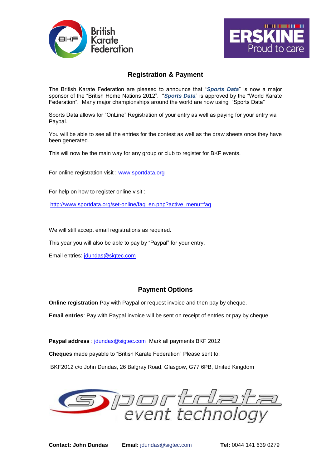



### **Registration & Payment**

The British Karate Federation are pleased to announce that "*Sports Data*" is now a major sponsor of the "British Home Nations 2012". "*Sports Data*" is approved by the "World Karate Federation". Many major championships around the world are now using "Sports Data"

Sports Data allows for "OnLine" Registration of your entry as well as paying for your entry via Paypal.

You will be able to see all the entries for the contest as well as the draw sheets once they have been generated.

This will now be the main way for any group or club to register for BKF events.

For online registration visit : [www.sportdata.org](https://webmail.sigtec.net.au/owa/redir.aspx?C=1b7916f91da84f6ba15d404b943bc3a8&URL=http%3a%2f%2fwww.sportdata.org)

For help on how to register online visit :

http://www.sportdata.org/set-online/fag\_en.php?active\_menu=fag

We will still accept email registrations as required.

This year you will also be able to pay by "Paypal" for your entry.

Email entries: [jdundas@sigtec.com](mailto:jdundas@sigtec.com)

#### **Payment Options**

**Online registration** Pay with Paypal or request invoice and then pay by cheque.

**Email entries**: Pay with Paypal invoice will be sent on receipt of entries or pay by cheque

**Paypal address** : [jdundas@sigtec.com](mailto:jdundas@sigtec.com) Mark all payments BKF 2012 **Cheques** made payable to "British Karate Federation" Please sent to: BKF2012 c/o John Dundas, 26 Balgray Road, Glasgow, G77 6PB, United Kingdom

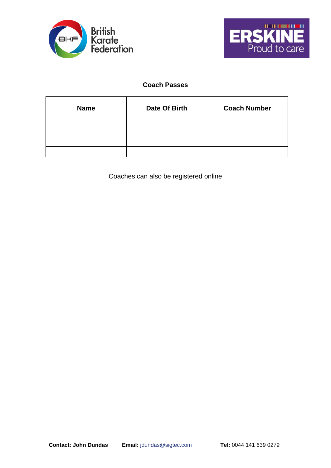



### **Coach Passes**

| <b>Name</b> | Date Of Birth | <b>Coach Number</b> |
|-------------|---------------|---------------------|
|             |               |                     |
|             |               |                     |
|             |               |                     |
|             |               |                     |

Coaches can also be registered online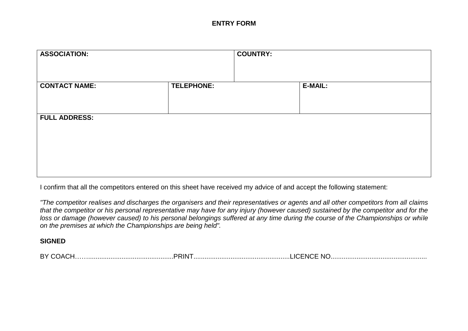#### **ENTRY FORM**

| <b>ASSOCIATION:</b>  |            | <b>COUNTRY:</b> |                |
|----------------------|------------|-----------------|----------------|
| <b>CONTACT NAME:</b> | TELEPHONE: |                 | <b>E-MAIL:</b> |
| <b>FULL ADDRESS:</b> |            |                 |                |

I confirm that all the competitors entered on this sheet have received my advice of and accept the following statement:

*"The competitor realises and discharges the organisers and their representatives or agents and all other competitors from all claims that the competitor or his personal representative may have for any injury (however caused) sustained by the competitor and for the loss or damage (however caused) to his personal belongings suffered at any time during the course of the Championships or while on the premises at which the Championships are being held".*

#### **SIGNED**

| <b>BY COACH</b> | <b>PRIN</b> | $\angle$ NCF<br>N <sup>c</sup><br>$\Gamma$ |
|-----------------|-------------|--------------------------------------------|
|-----------------|-------------|--------------------------------------------|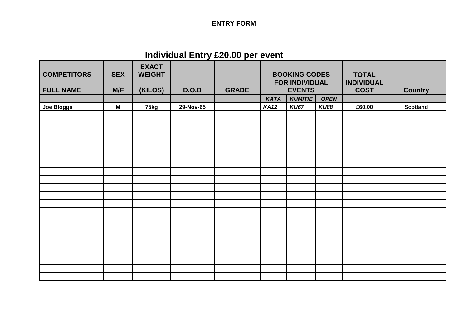## **ENTRY FORM**

## **Individual Entry £20.00 per event**

| <b>COMPETITORS</b><br><b>FULL NAME</b> | <b>SEX</b><br>M/F | <b>EXACT</b><br><b>WEIGHT</b><br>(KILOS) | D.O.B     | <b>GRADE</b> | <b>BOOKING CODES</b><br><b>FOR INDIVIDUAL</b><br><b>EVENTS</b> |                |             | <b>TOTAL</b><br><b>INDIVIDUAL</b><br><b>COST</b> |                 |
|----------------------------------------|-------------------|------------------------------------------|-----------|--------------|----------------------------------------------------------------|----------------|-------------|--------------------------------------------------|-----------------|
|                                        |                   |                                          |           |              | <b>KATA</b>                                                    | <b>KUMITIE</b> | <b>OPEN</b> |                                                  | <b>Country</b>  |
| <b>Joe Bloggs</b>                      | M                 | 75kg                                     | 29-Nov-65 |              | <b>KA12</b>                                                    | <b>KU67</b>    | <b>KU88</b> | £60.00                                           | <b>Scotland</b> |
|                                        |                   |                                          |           |              |                                                                |                |             |                                                  |                 |
|                                        |                   |                                          |           |              |                                                                |                |             |                                                  |                 |
|                                        |                   |                                          |           |              |                                                                |                |             |                                                  |                 |
|                                        |                   |                                          |           |              |                                                                |                |             |                                                  |                 |
|                                        |                   |                                          |           |              |                                                                |                |             |                                                  |                 |
|                                        |                   |                                          |           |              |                                                                |                |             |                                                  |                 |
|                                        |                   |                                          |           |              |                                                                |                |             |                                                  |                 |
|                                        |                   |                                          |           |              |                                                                |                |             |                                                  |                 |
|                                        |                   |                                          |           |              |                                                                |                |             |                                                  |                 |
|                                        |                   |                                          |           |              |                                                                |                |             |                                                  |                 |
|                                        |                   |                                          |           |              |                                                                |                |             |                                                  |                 |
|                                        |                   |                                          |           |              |                                                                |                |             |                                                  |                 |
|                                        |                   |                                          |           |              |                                                                |                |             |                                                  |                 |
|                                        |                   |                                          |           |              |                                                                |                |             |                                                  |                 |
|                                        |                   |                                          |           |              |                                                                |                |             |                                                  |                 |
|                                        |                   |                                          |           |              |                                                                |                |             |                                                  |                 |
|                                        |                   |                                          |           |              |                                                                |                |             |                                                  |                 |
|                                        |                   |                                          |           |              |                                                                |                |             |                                                  |                 |
|                                        |                   |                                          |           |              |                                                                |                |             |                                                  |                 |
|                                        |                   |                                          |           |              |                                                                |                |             |                                                  |                 |
|                                        |                   |                                          |           |              |                                                                |                |             |                                                  |                 |